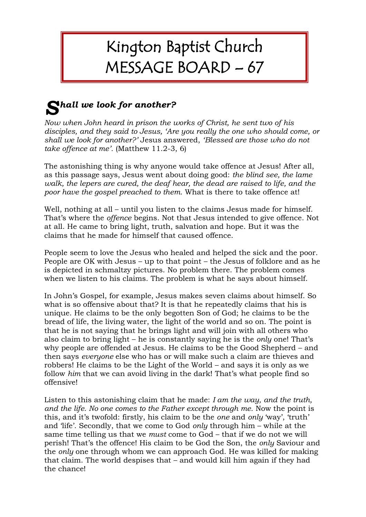## Kington Baptist Church MESSAGE BOARD – 67

## *hall we look for another? S*

*Now when John heard in prison the works of Christ, he sent two of his disciples, and they said to Jesus, 'Are you really the one who should come, or shall we look for another?'* Jesus answered, *'Blessed are those who do not take offence at me'.* (Matthew 11.2-3, 6)

The astonishing thing is why anyone would take offence at Jesus! After all, as this passage says, Jesus went about doing good: *the blind see, the lame walk, the lepers are cured, the deaf hear, the dead are raised to life, and the poor have the gospel preached to them.* What is there to take offence at!

Well, nothing at all – until you listen to the claims Jesus made for himself. That's where the *offence* begins. Not that Jesus intended to give offence. Not at all. He came to bring light, truth, salvation and hope. But it was the claims that he made for himself that caused offence.

People seem to love the Jesus who healed and helped the sick and the poor. People are OK with Jesus – up to that point – the Jesus of folklore and as he is depicted in schmaltzy pictures. No problem there. The problem comes when we listen to his claims. The problem is what he says about himself.

In John's Gospel, for example, Jesus makes seven claims about himself. So what is so offensive about that? It is that he repeatedly claims that his is unique. He claims to be the only begotten Son of God; he claims to be the bread of life, the living water, the light of the world and so on. The point is that he is not saying that he brings light and will join with all others who also claim to bring light – he is constantly saying he is the *only* one! That's why people are offended at Jesus. He claims to be the Good Shepherd – and then says *everyone* else who has or will make such a claim are thieves and robbers! He claims to be the Light of the World – and says it is only as we follow *him* that we can avoid living in the dark! That's what people find so offensive!

Listen to this astonishing claim that he made: *I am the way, and the truth, and the life. No one comes to the Father except through me.* Now the point is this, and it's twofold: firstly, his claim to be the *one* and *only* 'way', 'truth' and 'life'. Secondly, that we come to God *only* through him – while at the same time telling us that we *must* come to God – that if we do not we will perish! That's the offence! His claim to be God the Son, the *only* Saviour and the *only* one through whom we can approach God. He was killed for making that claim. The world despises that – and would kill him again if they had the chance!